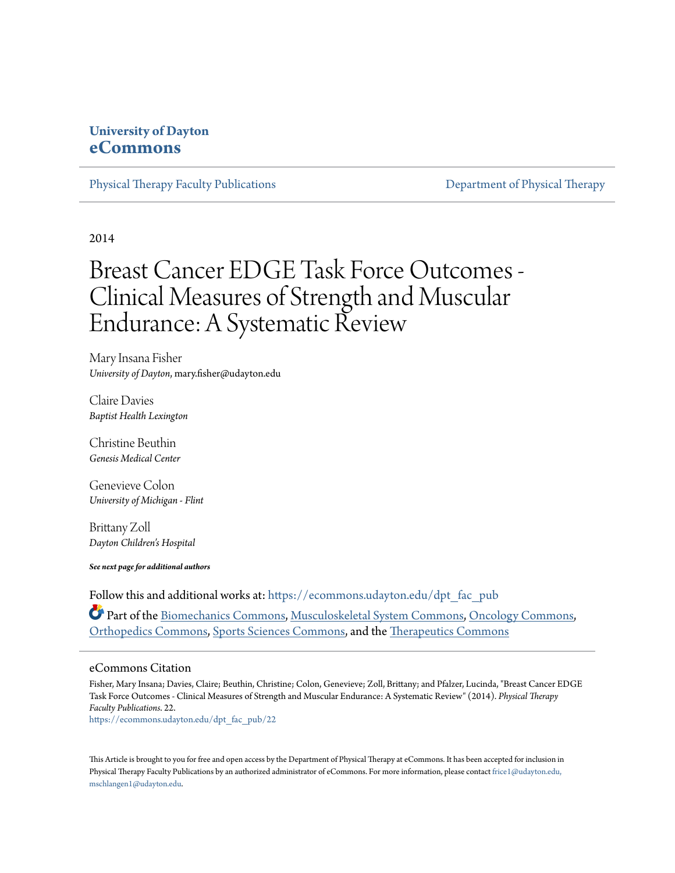### **University of Dayton [eCommons](https://ecommons.udayton.edu?utm_source=ecommons.udayton.edu%2Fdpt_fac_pub%2F22&utm_medium=PDF&utm_campaign=PDFCoverPages)**

[Physical Therapy Faculty Publications](https://ecommons.udayton.edu/dpt_fac_pub?utm_source=ecommons.udayton.edu%2Fdpt_fac_pub%2F22&utm_medium=PDF&utm_campaign=PDFCoverPages) **[Department of Physical Therapy](https://ecommons.udayton.edu/dpt?utm_source=ecommons.udayton.edu%2Fdpt_fac_pub%2F22&utm_medium=PDF&utm_campaign=PDFCoverPages)** 

2014

# Breast Cancer EDGE Task Force Outcomes - Clinical Measures of Strength and Muscular Endurance: A Systematic Review

Mary Insana Fisher *University of Dayton*, mary.fisher@udayton.edu

Claire Davies *Baptist Health Lexington*

Christine Beuthin *Genesis Medical Center*

Genevieve Colon *University of Michigan - Flint*

Brittany Zoll *Dayton Children's Hospital*

*See next page for additional authors*

Follow this and additional works at: [https://ecommons.udayton.edu/dpt\\_fac\\_pub](https://ecommons.udayton.edu/dpt_fac_pub?utm_source=ecommons.udayton.edu%2Fdpt_fac_pub%2F22&utm_medium=PDF&utm_campaign=PDFCoverPages) Part of the [Biomechanics Commons,](http://network.bepress.com/hgg/discipline/43?utm_source=ecommons.udayton.edu%2Fdpt_fac_pub%2F22&utm_medium=PDF&utm_campaign=PDFCoverPages) [Musculoskeletal System Commons,](http://network.bepress.com/hgg/discipline/938?utm_source=ecommons.udayton.edu%2Fdpt_fac_pub%2F22&utm_medium=PDF&utm_campaign=PDFCoverPages) [Oncology Commons,](http://network.bepress.com/hgg/discipline/694?utm_source=ecommons.udayton.edu%2Fdpt_fac_pub%2F22&utm_medium=PDF&utm_campaign=PDFCoverPages) [Orthopedics Commons](http://network.bepress.com/hgg/discipline/696?utm_source=ecommons.udayton.edu%2Fdpt_fac_pub%2F22&utm_medium=PDF&utm_campaign=PDFCoverPages), [Sports Sciences Commons](http://network.bepress.com/hgg/discipline/759?utm_source=ecommons.udayton.edu%2Fdpt_fac_pub%2F22&utm_medium=PDF&utm_campaign=PDFCoverPages), and the [Therapeutics Commons](http://network.bepress.com/hgg/discipline/993?utm_source=ecommons.udayton.edu%2Fdpt_fac_pub%2F22&utm_medium=PDF&utm_campaign=PDFCoverPages)

#### eCommons Citation

Fisher, Mary Insana; Davies, Claire; Beuthin, Christine; Colon, Genevieve; Zoll, Brittany; and Pfalzer, Lucinda, "Breast Cancer EDGE Task Force Outcomes - Clinical Measures of Strength and Muscular Endurance: A Systematic Review" (2014). *Physical Therapy Faculty Publications*. 22.

[https://ecommons.udayton.edu/dpt\\_fac\\_pub/22](https://ecommons.udayton.edu/dpt_fac_pub/22?utm_source=ecommons.udayton.edu%2Fdpt_fac_pub%2F22&utm_medium=PDF&utm_campaign=PDFCoverPages)

This Article is brought to you for free and open access by the Department of Physical Therapy at eCommons. It has been accepted for inclusion in Physical Therapy Faculty Publications by an authorized administrator of eCommons. For more information, please contact [frice1@udayton.edu,](mailto:frice1@udayton.edu,%20mschlangen1@udayton.edu) [mschlangen1@udayton.edu.](mailto:frice1@udayton.edu,%20mschlangen1@udayton.edu)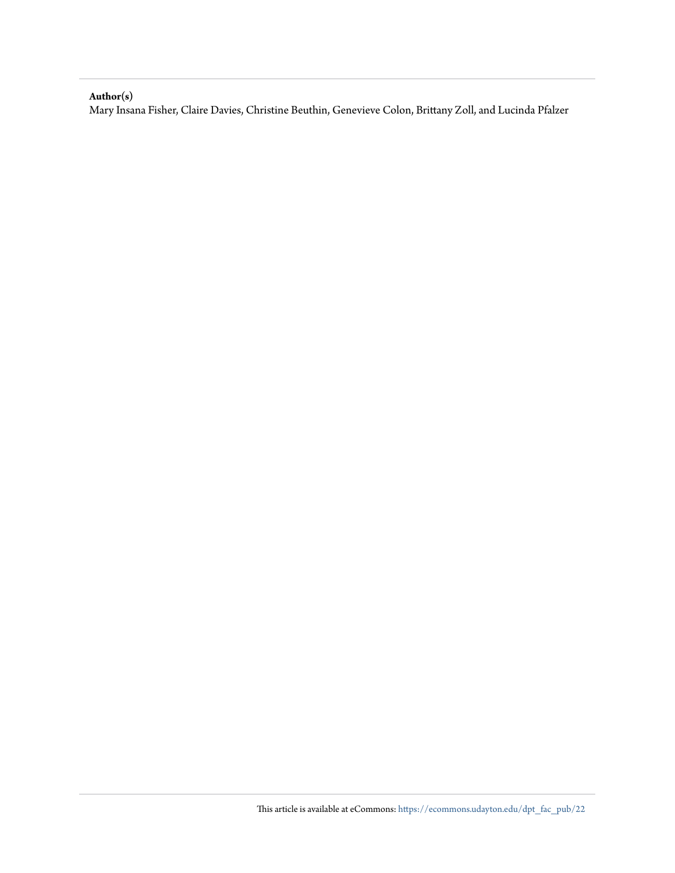#### **Author(s)**

Mary Insana Fisher, Claire Davies, Christine Beuthin, Genevieve Colon, Brittany Zoll, and Lucinda Pfalzer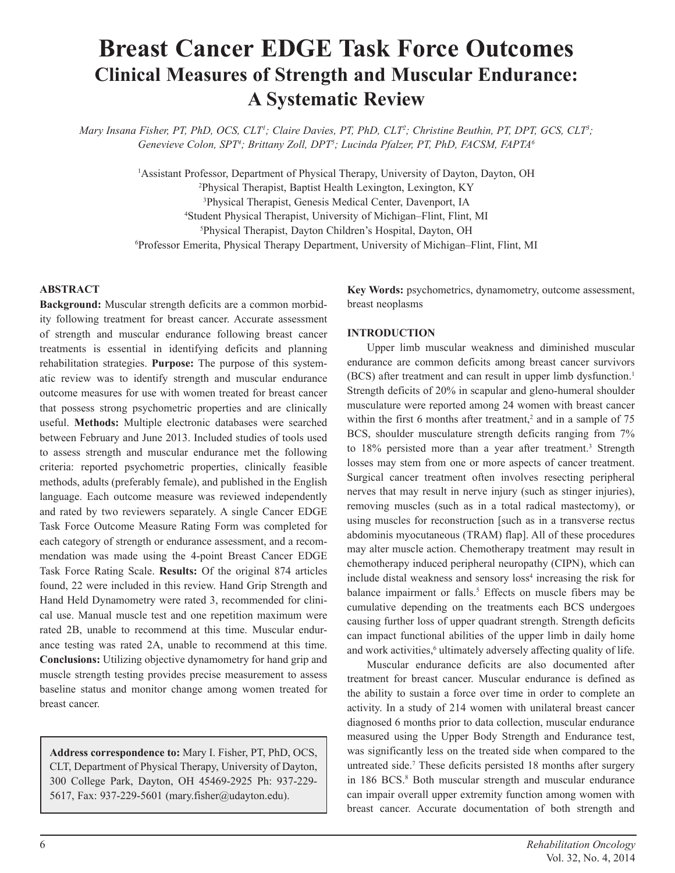## **Breast Cancer EDGE Task Force Outcomes Clinical Measures of Strength and Muscular Endurance: A Systematic Review**

*Mary Insana Fisher, PT, PhD, OCS, CLT1 ; Claire Davies, PT, PhD, CLT2 ; Christine Beuthin, PT, DPT, GCS, CLT3 ; Genevieve Colon, SPT4 ; Brittany Zoll, DPT5 ; Lucinda Pfalzer, PT, PhD, FACSM, FAPTA6*

> <sup>1</sup>Assistant Professor, Department of Physical Therapy, University of Dayton, Dayton, OH Physical Therapist, Baptist Health Lexington, Lexington, KY Physical Therapist, Genesis Medical Center, Davenport, IA Student Physical Therapist, University of Michigan–Flint, Flint, MI Physical Therapist, Dayton Children's Hospital, Dayton, OH Professor Emerita, Physical Therapy Department, University of Michigan–Flint, Flint, MI

#### **ABSTRACT**

**Background:** Muscular strength deficits are a common morbidity following treatment for breast cancer. Accurate assessment of strength and muscular endurance following breast cancer treatments is essential in identifying deficits and planning rehabilitation strategies. **Purpose:** The purpose of this systematic review was to identify strength and muscular endurance outcome measures for use with women treated for breast cancer that possess strong psychometric properties and are clinically useful. **Methods:** Multiple electronic databases were searched between February and June 2013. Included studies of tools used to assess strength and muscular endurance met the following criteria: reported psychometric properties, clinically feasible methods, adults (preferably female), and published in the English language. Each outcome measure was reviewed independently and rated by two reviewers separately. A single Cancer EDGE Task Force Outcome Measure Rating Form was completed for each category of strength or endurance assessment, and a recommendation was made using the 4-point Breast Cancer EDGE Task Force Rating Scale. **Results:** Of the original 874 articles found, 22 were included in this review. Hand Grip Strength and Hand Held Dynamometry were rated 3, recommended for clinical use. Manual muscle test and one repetition maximum were rated 2B, unable to recommend at this time. Muscular endurance testing was rated 2A, unable to recommend at this time. **Conclusions:** Utilizing objective dynamometry for hand grip and muscle strength testing provides precise measurement to assess baseline status and monitor change among women treated for breast cancer.

**Address correspondence to:** Mary I. Fisher, PT, PhD, OCS, CLT, Department of Physical Therapy, University of Dayton, 300 College Park, Dayton, OH 45469-2925 Ph: 937-229- 5617, Fax: 937-229-5601 (mary.fisher@udayton.edu).

**Key Words:** psychometrics, dynamometry, outcome assessment, breast neoplasms

#### **INTRODUCTION**

Upper limb muscular weakness and diminished muscular endurance are common deficits among breast cancer survivors (BCS) after treatment and can result in upper limb dysfunction.<sup>1</sup> Strength deficits of 20% in scapular and gleno-humeral shoulder musculature were reported among 24 women with breast cancer within the first 6 months after treatment,<sup>2</sup> and in a sample of  $75$ BCS, shoulder musculature strength deficits ranging from 7% to 18% persisted more than a year after treatment.<sup>3</sup> Strength losses may stem from one or more aspects of cancer treatment. Surgical cancer treatment often involves resecting peripheral nerves that may result in nerve injury (such as stinger injuries), removing muscles (such as in a total radical mastectomy), or using muscles for reconstruction [such as in a transverse rectus abdominis myocutaneous (TRAM) flap]. All of these procedures may alter muscle action. Chemotherapy treatment may result in chemotherapy induced peripheral neuropathy (CIPN), which can include distal weakness and sensory loss<sup>4</sup> increasing the risk for balance impairment or falls.<sup>5</sup> Effects on muscle fibers may be cumulative depending on the treatments each BCS undergoes causing further loss of upper quadrant strength. Strength deficits can impact functional abilities of the upper limb in daily home and work activities,<sup>6</sup> ultimately adversely affecting quality of life.

Muscular endurance deficits are also documented after treatment for breast cancer. Muscular endurance is defined as the ability to sustain a force over time in order to complete an activity. In a study of 214 women with unilateral breast cancer diagnosed 6 months prior to data collection, muscular endurance measured using the Upper Body Strength and Endurance test, was significantly less on the treated side when compared to the untreated side.<sup>7</sup> These deficits persisted 18 months after surgery in 186 BCS.<sup>8</sup> Both muscular strength and muscular endurance can impair overall upper extremity function among women with breast cancer. Accurate documentation of both strength and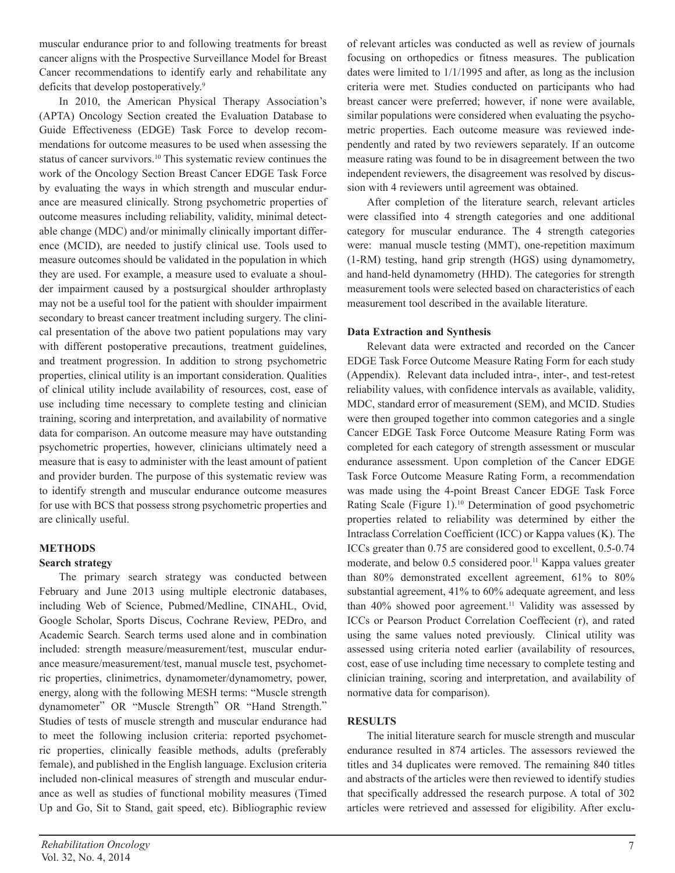muscular endurance prior to and following treatments for breast cancer aligns with the Prospective Surveillance Model for Breast Cancer recommendations to identify early and rehabilitate any deficits that develop postoperatively.<sup>9</sup>

In 2010, the American Physical Therapy Association's (APTA) Oncology Section created the Evaluation Database to Guide Effectiveness (EDGE) Task Force to develop recommendations for outcome measures to be used when assessing the status of cancer survivors.10 This systematic review continues the work of the Oncology Section Breast Cancer EDGE Task Force by evaluating the ways in which strength and muscular endurance are measured clinically. Strong psychometric properties of outcome measures including reliability, validity, minimal detectable change (MDC) and/or minimally clinically important difference (MCID), are needed to justify clinical use. Tools used to measure outcomes should be validated in the population in which they are used. For example, a measure used to evaluate a shoulder impairment caused by a postsurgical shoulder arthroplasty may not be a useful tool for the patient with shoulder impairment secondary to breast cancer treatment including surgery. The clinical presentation of the above two patient populations may vary with different postoperative precautions, treatment guidelines, and treatment progression. In addition to strong psychometric properties, clinical utility is an important consideration. Qualities of clinical utility include availability of resources, cost, ease of use including time necessary to complete testing and clinician training, scoring and interpretation, and availability of normative data for comparison. An outcome measure may have outstanding psychometric properties, however, clinicians ultimately need a measure that is easy to administer with the least amount of patient and provider burden. The purpose of this systematic review was to identify strength and muscular endurance outcome measures for use with BCS that possess strong psychometric properties and are clinically useful.

#### **METHODS**

#### **Search strategy**

The primary search strategy was conducted between February and June 2013 using multiple electronic databases, including Web of Science, Pubmed/Medline, CINAHL, Ovid, Google Scholar, Sports Discus, Cochrane Review, PEDro, and Academic Search. Search terms used alone and in combination included: strength measure/measurement/test, muscular endurance measure/measurement/test, manual muscle test, psychometric properties, clinimetrics, dynamometer/dynamometry, power, energy, along with the following MESH terms: "Muscle strength dynamometer" OR "Muscle Strength" OR "Hand Strength." Studies of tests of muscle strength and muscular endurance had to meet the following inclusion criteria: reported psychometric properties, clinically feasible methods, adults (preferably female), and published in the English language. Exclusion criteria included non-clinical measures of strength and muscular endurance as well as studies of functional mobility measures (Timed Up and Go, Sit to Stand, gait speed, etc). Bibliographic review

of relevant articles was conducted as well as review of journals focusing on orthopedics or fitness measures. The publication dates were limited to 1/1/1995 and after, as long as the inclusion criteria were met. Studies conducted on participants who had breast cancer were preferred; however, if none were available, similar populations were considered when evaluating the psychometric properties. Each outcome measure was reviewed independently and rated by two reviewers separately. If an outcome measure rating was found to be in disagreement between the two independent reviewers, the disagreement was resolved by discussion with 4 reviewers until agreement was obtained.

After completion of the literature search, relevant articles were classified into 4 strength categories and one additional category for muscular endurance. The 4 strength categories were: manual muscle testing (MMT), one-repetition maximum (1-RM) testing, hand grip strength (HGS) using dynamometry, and hand-held dynamometry (HHD). The categories for strength measurement tools were selected based on characteristics of each measurement tool described in the available literature.

#### **Data Extraction and Synthesis**

Relevant data were extracted and recorded on the Cancer EDGE Task Force Outcome Measure Rating Form for each study (Appendix). Relevant data included intra-, inter-, and test-retest reliability values, with confidence intervals as available, validity, MDC, standard error of measurement (SEM), and MCID. Studies were then grouped together into common categories and a single Cancer EDGE Task Force Outcome Measure Rating Form was completed for each category of strength assessment or muscular endurance assessment. Upon completion of the Cancer EDGE Task Force Outcome Measure Rating Form, a recommendation was made using the 4-point Breast Cancer EDGE Task Force Rating Scale (Figure 1).10 Determination of good psychometric properties related to reliability was determined by either the Intraclass Correlation Coefficient (ICC) or Kappa values (K). The ICCs greater than 0.75 are considered good to excellent, 0.5-0.74 moderate, and below 0.5 considered poor.<sup>11</sup> Kappa values greater than 80% demonstrated excellent agreement, 61% to 80% substantial agreement, 41% to 60% adequate agreement, and less than 40% showed poor agreement.<sup>11</sup> Validity was assessed by ICCs or Pearson Product Correlation Coeffecient (r), and rated using the same values noted previously. Clinical utility was assessed using criteria noted earlier (availability of resources, cost, ease of use including time necessary to complete testing and clinician training, scoring and interpretation, and availability of normative data for comparison).

#### **RESULTS**

The initial literature search for muscle strength and muscular endurance resulted in 874 articles. The assessors reviewed the titles and 34 duplicates were removed. The remaining 840 titles and abstracts of the articles were then reviewed to identify studies that specifically addressed the research purpose. A total of 302 articles were retrieved and assessed for eligibility. After exclu-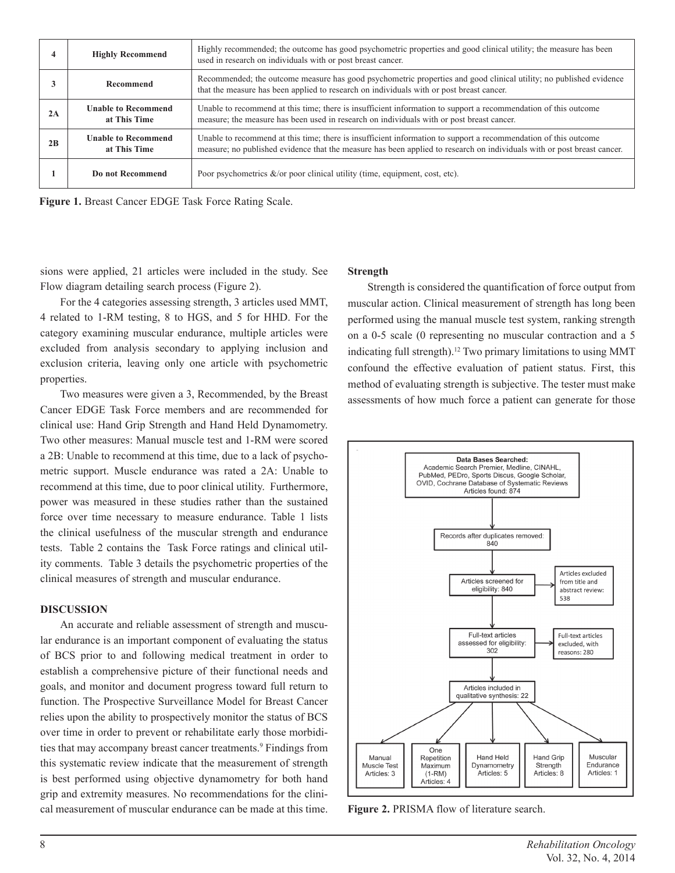|    | <b>Highly Recommend</b>                    | Highly recommended; the outcome has good psychometric properties and good clinical utility; the measure has been<br>used in research on individuals with or post breast cancer.                                                            |
|----|--------------------------------------------|--------------------------------------------------------------------------------------------------------------------------------------------------------------------------------------------------------------------------------------------|
|    | Recommend                                  | Recommended; the outcome measure has good psychometric properties and good clinical utility; no published evidence<br>that the measure has been applied to research on individuals with or post breast cancer.                             |
| 2A | <b>Unable to Recommend</b><br>at This Time | Unable to recommend at this time; there is insufficient information to support a recommendation of this outcome<br>measure; the measure has been used in research on individuals with or post breast cancer.                               |
| 2B | <b>Unable to Recommend</b><br>at This Time | Unable to recommend at this time; there is insufficient information to support a recommendation of this outcome<br>measure; no published evidence that the measure has been applied to research on individuals with or post breast cancer. |
|    | Do not Recommend                           | Poor psychometrics $\&$ /or poor clinical utility (time, equipment, cost, etc).                                                                                                                                                            |

**Figure 1.** Breast Cancer EDGE Task Force Rating Scale.

sions were applied, 21 articles were included in the study. See Flow diagram detailing search process (Figure 2).

#### **Strength**

For the 4 categories assessing strength, 3 articles used MMT, 4 related to 1-RM testing, 8 to HGS, and 5 for HHD. For the category examining muscular endurance, multiple articles were excluded from analysis secondary to applying inclusion and exclusion criteria, leaving only one article with psychometric properties.

Two measures were given a 3, Recommended, by the Breast Cancer EDGE Task Force members and are recommended for clinical use: Hand Grip Strength and Hand Held Dynamometry. Two other measures: Manual muscle test and 1-RM were scored a 2B: Unable to recommend at this time, due to a lack of psychometric support. Muscle endurance was rated a 2A: Unable to recommend at this time, due to poor clinical utility. Furthermore, power was measured in these studies rather than the sustained force over time necessary to measure endurance. Table 1 lists the clinical usefulness of the muscular strength and endurance tests. Table 2 contains the Task Force ratings and clinical utility comments. Table 3 details the psychometric properties of the clinical measures of strength and muscular endurance.

#### **DISCUSSION**

An accurate and reliable assessment of strength and muscular endurance is an important component of evaluating the status of BCS prior to and following medical treatment in order to establish a comprehensive picture of their functional needs and goals, and monitor and document progress toward full return to function. The Prospective Surveillance Model for Breast Cancer relies upon the ability to prospectively monitor the status of BCS over time in order to prevent or rehabilitate early those morbidities that may accompany breast cancer treatments.<sup>9</sup> Findings from this systematic review indicate that the measurement of strength is best performed using objective dynamometry for both hand grip and extremity measures. No recommendations for the clinical measurement of muscular endurance can be made at this time.

Strength is considered the quantification of force output from muscular action. Clinical measurement of strength has long been performed using the manual muscle test system, ranking strength on a 0-5 scale (0 representing no muscular contraction and a 5 indicating full strength).12 Two primary limitations to using MMT confound the effective evaluation of patient status. First, this method of evaluating strength is subjective. The tester must make assessments of how much force a patient can generate for those



**Figure 2.** PRISMA flow of literature search.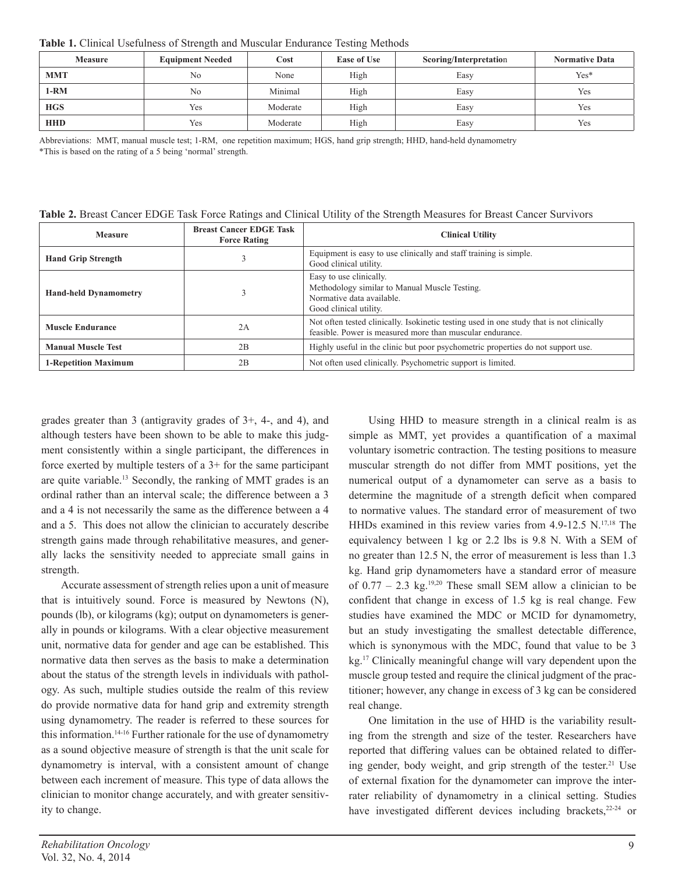**Table 1.** Clinical Usefulness of Strength and Muscular Endurance Testing Methods

| <b>Measure</b> | <b>Equipment Needed</b> | Cost     | <b>Ease of Use</b> | Scoring/Interpretation | <b>Normative Data</b> |
|----------------|-------------------------|----------|--------------------|------------------------|-----------------------|
| <b>MMT</b>     | N <sub>0</sub>          | None     | High               | Easy                   | $Yes*$                |
| 1-RM           | No                      | Minimal  | High               | Easy                   | Yes                   |
| <b>HGS</b>     | Yes                     | Moderate | High               | Easy                   | Yes                   |
| <b>HHD</b>     | Yes                     | Moderate | High               | Easy                   | Yes                   |

Abbreviations: MMT, manual muscle test; 1-RM, one repetition maximum; HGS, hand grip strength; HHD, hand-held dynamometry \*This is based on the rating of a 5 being 'normal' strength.

| Table 2. Breast Cancer EDGE Task Force Ratings and Clinical Utility of the Strength Measures for Breast Cancer Survivors |  |  |  |  |
|--------------------------------------------------------------------------------------------------------------------------|--|--|--|--|
|--------------------------------------------------------------------------------------------------------------------------|--|--|--|--|

| <b>Measure</b>                                      | <b>Breast Cancer EDGE Task</b><br><b>Force Rating</b> | <b>Clinical Utility</b>                                                                                                                               |  |
|-----------------------------------------------------|-------------------------------------------------------|-------------------------------------------------------------------------------------------------------------------------------------------------------|--|
| <b>Hand Grip Strength</b><br>Good clinical utility. |                                                       | Equipment is easy to use clinically and staff training is simple.                                                                                     |  |
| <b>Hand-held Dynamometry</b>                        |                                                       | Easy to use clinically.<br>Methodology similar to Manual Muscle Testing.<br>Normative data available.<br>Good clinical utility.                       |  |
| <b>Muscle Endurance</b>                             | 2A                                                    | Not often tested clinically. Isokinetic testing used in one study that is not clinically<br>feasible. Power is measured more than muscular endurance. |  |
| <b>Manual Muscle Test</b>                           | 2B                                                    | Highly useful in the clinic but poor psychometric properties do not support use.                                                                      |  |
| <b>1-Repetition Maximum</b>                         | 2B                                                    | Not often used clinically. Psychometric support is limited.                                                                                           |  |

grades greater than 3 (antigravity grades of 3+, 4-, and 4), and although testers have been shown to be able to make this judgment consistently within a single participant, the differences in force exerted by multiple testers of a 3+ for the same participant are quite variable.13 Secondly, the ranking of MMT grades is an ordinal rather than an interval scale; the difference between a 3 and a 4 is not necessarily the same as the difference between a 4 and a 5. This does not allow the clinician to accurately describe strength gains made through rehabilitative measures, and generally lacks the sensitivity needed to appreciate small gains in strength.

Accurate assessment of strength relies upon a unit of measure that is intuitively sound. Force is measured by Newtons (N), pounds (lb), or kilograms (kg); output on dynamometers is generally in pounds or kilograms. With a clear objective measurement unit, normative data for gender and age can be established. This normative data then serves as the basis to make a determination about the status of the strength levels in individuals with pathology. As such, multiple studies outside the realm of this review do provide normative data for hand grip and extremity strength using dynamometry. The reader is referred to these sources for this information.14-16 Further rationale for the use of dynamometry as a sound objective measure of strength is that the unit scale for dynamometry is interval, with a consistent amount of change between each increment of measure. This type of data allows the clinician to monitor change accurately, and with greater sensitivity to change.

voluntary isometric contraction. The testing positions to measure muscular strength do not differ from MMT positions, yet the numerical output of a dynamometer can serve as a basis to determine the magnitude of a strength deficit when compared to normative values. The standard error of measurement of two HHDs examined in this review varies from 4.9-12.5 N.<sup>17,18</sup> The equivalency between 1 kg or 2.2 lbs is 9.8 N. With a SEM of no greater than 12.5 N, the error of measurement is less than 1.3 kg. Hand grip dynamometers have a standard error of measure of  $0.77 - 2.3$  kg.<sup>19,20</sup> These small SEM allow a clinician to be confident that change in excess of 1.5 kg is real change. Few studies have examined the MDC or MCID for dynamometry, but an study investigating the smallest detectable difference, which is synonymous with the MDC, found that value to be 3 kg.17 Clinically meaningful change will vary dependent upon the muscle group tested and require the clinical judgment of the practitioner; however, any change in excess of 3 kg can be considered real change. One limitation in the use of HHD is the variability result-

Using HHD to measure strength in a clinical realm is as simple as MMT, yet provides a quantification of a maximal

ing from the strength and size of the tester. Researchers have reported that differing values can be obtained related to differing gender, body weight, and grip strength of the tester.<sup>21</sup> Use of external fixation for the dynamometer can improve the interrater reliability of dynamometry in a clinical setting. Studies have investigated different devices including brackets,<sup>22-24</sup> or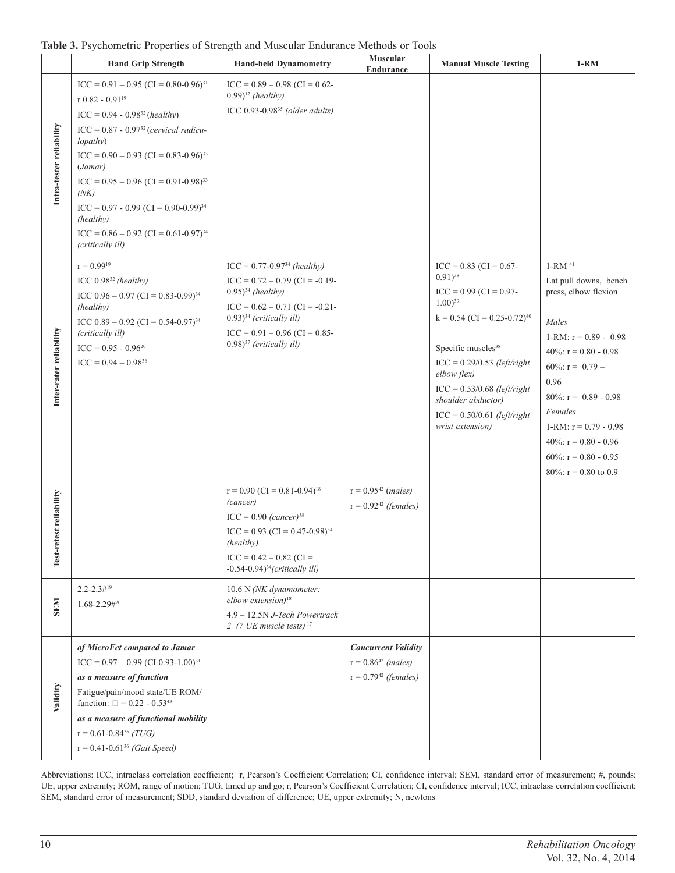|                          | <b>Hand Grip Strength</b>                                                                                                                                                                                                                                                                                                                                                                                        | <b>Hand-held Dynamometry</b>                                                                                                                                                                                                               | <b>Muscular</b><br>Endurance                                                 | <b>Manual Muscle Testing</b>                                                                                                                                                                                                                                                                                                      | $1-RM$                                                                                                                                                                                                                                                                                                             |
|--------------------------|------------------------------------------------------------------------------------------------------------------------------------------------------------------------------------------------------------------------------------------------------------------------------------------------------------------------------------------------------------------------------------------------------------------|--------------------------------------------------------------------------------------------------------------------------------------------------------------------------------------------------------------------------------------------|------------------------------------------------------------------------------|-----------------------------------------------------------------------------------------------------------------------------------------------------------------------------------------------------------------------------------------------------------------------------------------------------------------------------------|--------------------------------------------------------------------------------------------------------------------------------------------------------------------------------------------------------------------------------------------------------------------------------------------------------------------|
| Intra-tester reliability | $ICC = 0.91 - 0.95 (CI = 0.80 - 0.96)^{31}$<br>r $0.82 - 0.91^{19}$<br>$ICC = 0.94 - 0.9832 (healthy)$<br>$ICC = 0.87 - 0.97^{32} (cervical radicu-$<br>lopathy)<br>$ICC = 0.90 - 0.93 (CI = 0.83 - 0.96)^{33}$<br>(Jamar)<br>$ICC = 0.95 - 0.96 (CI = 0.91 - 0.98)^{33}$<br>(NK)<br>$ICC = 0.97 - 0.99 (CI = 0.90 - 0.99)^{34}$<br>(healthy)<br>$ICC = 0.86 - 0.92 (CI = 0.61 - 0.97)^{34}$<br>(critically ill) | $ICC = 0.89 - 0.98 (CI = 0.62 -$<br>$(0.99)^{17}$ (healthy)<br>ICC $0.93$ -0.98 <sup>35</sup> (older adults)                                                                                                                               |                                                                              |                                                                                                                                                                                                                                                                                                                                   |                                                                                                                                                                                                                                                                                                                    |
| Inter-rater reliability  | $r = 0.9919$<br>ICC $0.98^{32}$ (healthy)<br>ICC $0.96 - 0.97$ (CI = 0.83-0.99) <sup>34</sup><br>(healthy)<br>ICC $0.89 - 0.92$ (CI = 0.54-0.97) <sup>34</sup><br>(critically ill)<br>$ICC = 0.95 - 0.96^{20}$<br>$ICC = 0.94 - 0.98^{36}$                                                                                                                                                                       | $ICC = 0.77-0.9734 (healthy)$<br>$ICC = 0.72 - 0.79 (CI = -0.19 -$<br>$(0.95)^{34}$ (healthy)<br>$ICC = 0.62 - 0.71 (CI = -0.21 -$<br>$(0.93)^{34}$ (critically ill)<br>$ICC = 0.91 - 0.96 (CI = 0.85 -$<br>$(0.98)^{37}$ (critically ill) |                                                                              | $ICC = 0.83 (CI = 0.67 -$<br>$(0.91)^{38}$<br>$ICC = 0.99 (CI = 0.97 -$<br>$1.00^{39}$<br>$k = 0.54$ (CI = 0.25-0.72) <sup>40</sup><br>Specific muscles <sup>38</sup><br>$ICC = 0.29/0.53$ (left/right<br>elbow flex)<br>$ICC = 0.53/0.68$ (left/right<br>shoulder abductor)<br>$ICC = 0.50/0.61$ (left/right<br>wrist extension) | $1-RM$ <sup>41</sup><br>Lat pull downs, bench<br>press, elbow flexion<br>Males<br>1-RM: $r = 0.89 - 0.98$<br>40\%; $r = 0.80 - 0.98$<br>60\%; $r = 0.79 -$<br>0.96<br>$80\%$ : r = 0.89 - 0.98<br>Females<br>1-RM: $r = 0.79 - 0.98$<br>40%: $r = 0.80 - 0.96$<br>60%: $r = 0.80 - 0.95$<br>80%: $r = 0.80$ to 0.9 |
| Test-retest reliability  |                                                                                                                                                                                                                                                                                                                                                                                                                  | $r = 0.90$ (CI = 0.81-0.94) <sup>18</sup><br>(cancer)<br>$ICC = 0.90 (cancer)^{18}$<br>$ICC = 0.93 (CI = 0.47 - 0.98)^{34}$<br>(healthy)<br>$ICC = 0.42 - 0.82 (CI =$<br>$-0.54-0.94$ <sup>34</sup> (critically ill)                       | $r = 0.9542$ ( <i>males</i> )<br>$r = 0.9242$ (females)                      |                                                                                                                                                                                                                                                                                                                                   |                                                                                                                                                                                                                                                                                                                    |
| <b>SEN</b>               | $2.2 - 2.3 \#^{19}$<br>1.68-2.29#20                                                                                                                                                                                                                                                                                                                                                                              | 10.6 N (NK dynamometer;<br>elbow extension) <sup>18</sup><br>4.9 - 12.5N J-Tech Powertrack<br>2 (7 UE muscle tests) $17$                                                                                                                   |                                                                              |                                                                                                                                                                                                                                                                                                                                   |                                                                                                                                                                                                                                                                                                                    |
| Validity                 | of MicroFet compared to Jamar<br>$ICC = 0.97 - 0.99$ (CI 0.93-1.00) <sup>31</sup><br>as a measure of function<br>Fatigue/pain/mood state/UE ROM/<br>function: $\square = 0.22 - 0.53^{43}$<br>as a measure of functional mobility<br>$r = 0.61 - 0.84^{36} (TUG)$<br>$r = 0.41 - 0.61^{36}$ (Gait Speed)                                                                                                         |                                                                                                                                                                                                                                            | <b>Concurrent Validity</b><br>$r = 0.8642$ (males)<br>$r = 0.7942$ (females) |                                                                                                                                                                                                                                                                                                                                   |                                                                                                                                                                                                                                                                                                                    |

Abbreviations: ICC, intraclass correlation coefficient; r, Pearson's Coefficient Correlation; CI, confidence interval; SEM, standard error of measurement; #, pounds; UE, upper extremity; ROM, range of motion; TUG, timed up and go; r, Pearson's Coefficient Correlation; CI, confidence interval; ICC, intraclass correlation coefficient; SEM, standard error of measurement; SDD, standard deviation of difference; UE, upper extremity; N, newtons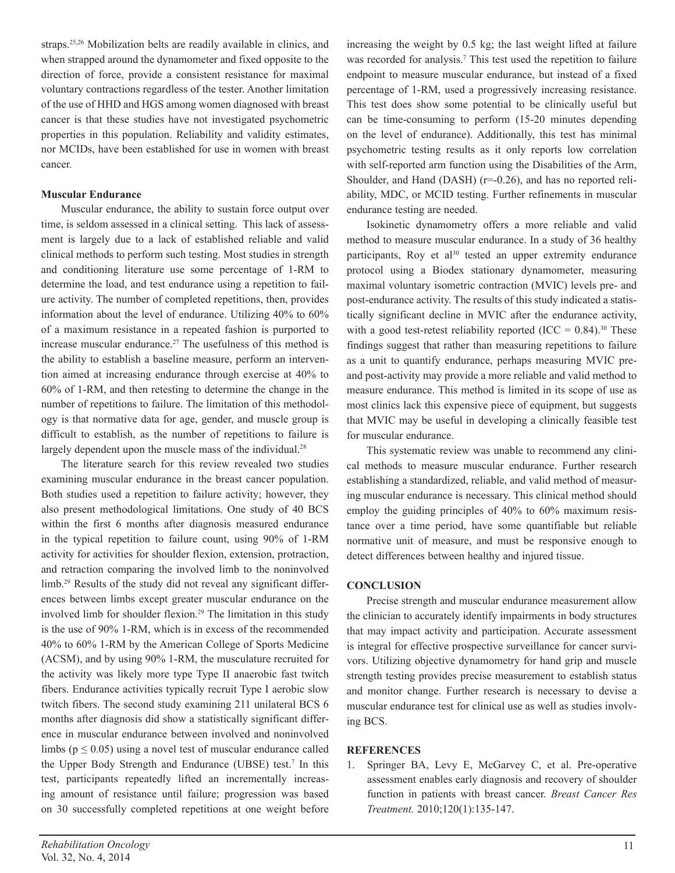straps.25,26 Mobilization belts are readily available in clinics, and when strapped around the dynamometer and fixed opposite to the direction of force, provide a consistent resistance for maximal voluntary contractions regardless of the tester. Another limitation of the use of HHD and HGS among women diagnosed with breast cancer is that these studies have not investigated psychometric properties in this population. Reliability and validity estimates, nor MCIDs, have been established for use in women with breast cancer.

#### **Muscular Endurance**

Muscular endurance, the ability to sustain force output over time, is seldom assessed in a clinical setting. This lack of assessment is largely due to a lack of established reliable and valid clinical methods to perform such testing. Most studies in strength and conditioning literature use some percentage of 1-RM to determine the load, and test endurance using a repetition to failure activity. The number of completed repetitions, then, provides information about the level of endurance. Utilizing 40% to 60% of a maximum resistance in a repeated fashion is purported to increase muscular endurance.<sup>27</sup> The usefulness of this method is the ability to establish a baseline measure, perform an intervention aimed at increasing endurance through exercise at 40% to 60% of 1-RM, and then retesting to determine the change in the number of repetitions to failure. The limitation of this methodology is that normative data for age, gender, and muscle group is difficult to establish, as the number of repetitions to failure is largely dependent upon the muscle mass of the individual.<sup>28</sup>

The literature search for this review revealed two studies examining muscular endurance in the breast cancer population. Both studies used a repetition to failure activity; however, they also present methodological limitations. One study of 40 BCS within the first 6 months after diagnosis measured endurance in the typical repetition to failure count, using 90% of 1-RM activity for activities for shoulder flexion, extension, protraction, and retraction comparing the involved limb to the noninvolved limb.<sup>29</sup> Results of the study did not reveal any significant differences between limbs except greater muscular endurance on the involved limb for shoulder flexion.<sup>29</sup> The limitation in this study is the use of 90% 1-RM, which is in excess of the recommended 40% to 60% 1-RM by the American College of Sports Medicine (ACSM), and by using 90% 1-RM, the musculature recruited for the activity was likely more type Type II anaerobic fast twitch fibers. Endurance activities typically recruit Type I aerobic slow twitch fibers. The second study examining 211 unilateral BCS 6 months after diagnosis did show a statistically significant difference in muscular endurance between involved and noninvolved limbs ( $p \le 0.05$ ) using a novel test of muscular endurance called the Upper Body Strength and Endurance (UBSE) test.7 In this test, participants repeatedly lifted an incrementally increasing amount of resistance until failure; progression was based on 30 successfully completed repetitions at one weight before

increasing the weight by 0.5 kg; the last weight lifted at failure was recorded for analysis.<sup>7</sup> This test used the repetition to failure endpoint to measure muscular endurance, but instead of a fixed percentage of 1-RM, used a progressively increasing resistance. This test does show some potential to be clinically useful but can be time-consuming to perform (15-20 minutes depending on the level of endurance). Additionally, this test has minimal psychometric testing results as it only reports low correlation with self-reported arm function using the Disabilities of the Arm, Shoulder, and Hand (DASH) (r=-0.26), and has no reported reliability, MDC, or MCID testing. Further refinements in muscular endurance testing are needed.

Isokinetic dynamometry offers a more reliable and valid method to measure muscular endurance. In a study of 36 healthy participants, Roy et al<sup>30</sup> tested an upper extremity endurance protocol using a Biodex stationary dynamometer, measuring maximal voluntary isometric contraction (MVIC) levels pre- and post-endurance activity. The results of this study indicated a statistically significant decline in MVIC after the endurance activity, with a good test-retest reliability reported (ICC =  $0.84$ ).<sup>30</sup> These findings suggest that rather than measuring repetitions to failure as a unit to quantify endurance, perhaps measuring MVIC preand post-activity may provide a more reliable and valid method to measure endurance. This method is limited in its scope of use as most clinics lack this expensive piece of equipment, but suggests that MVIC may be useful in developing a clinically feasible test for muscular endurance.

This systematic review was unable to recommend any clinical methods to measure muscular endurance. Further research establishing a standardized, reliable, and valid method of measuring muscular endurance is necessary. This clinical method should employ the guiding principles of 40% to 60% maximum resistance over a time period, have some quantifiable but reliable normative unit of measure, and must be responsive enough to detect differences between healthy and injured tissue.

#### **CONCLUSION**

Precise strength and muscular endurance measurement allow the clinician to accurately identify impairments in body structures that may impact activity and participation. Accurate assessment is integral for effective prospective surveillance for cancer survivors. Utilizing objective dynamometry for hand grip and muscle strength testing provides precise measurement to establish status and monitor change. Further research is necessary to devise a muscular endurance test for clinical use as well as studies involving BCS.

#### **REFERENCES**

1. Springer BA, Levy E, McGarvey C, et al. Pre-operative assessment enables early diagnosis and recovery of shoulder function in patients with breast cancer. *Breast Cancer Res Treatment.* 2010;120(1):135-147.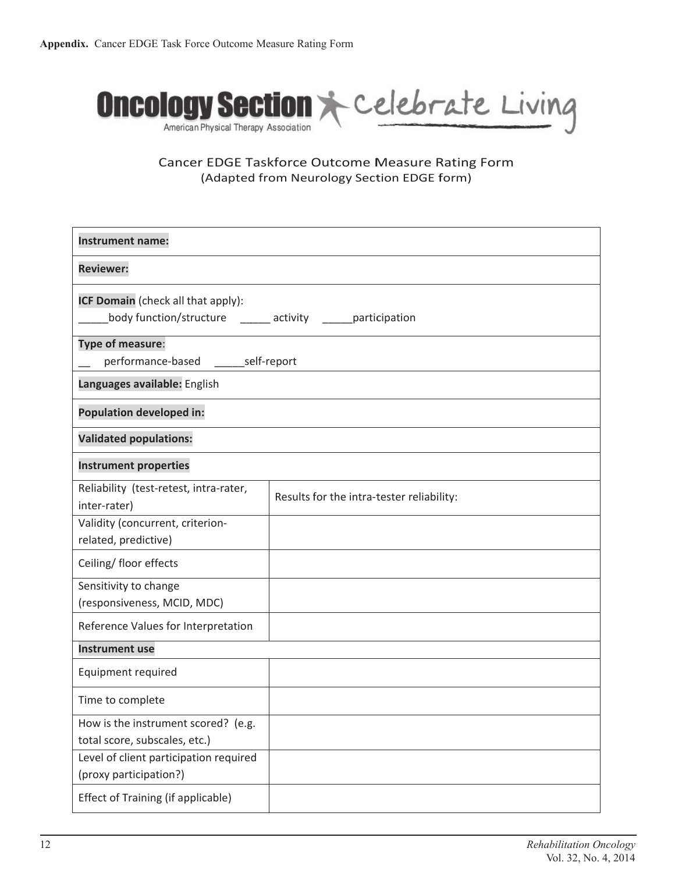

Cancer EDGE Taskforce Outcome Measure Rating Form (Adapted from Neurology Section EDGE form)

| <b>Instrument name:</b>                                                                                        |                                           |  |  |
|----------------------------------------------------------------------------------------------------------------|-------------------------------------------|--|--|
| <b>Reviewer:</b>                                                                                               |                                           |  |  |
| ICF Domain (check all that apply):<br>body function/structure ______ activity _____ participation              |                                           |  |  |
| Type of measure:<br>performance-based _______ self-report                                                      |                                           |  |  |
| Languages available: English                                                                                   |                                           |  |  |
| <b>Population developed in:</b>                                                                                |                                           |  |  |
| <b>Validated populations:</b>                                                                                  |                                           |  |  |
| <b>Instrument properties</b>                                                                                   |                                           |  |  |
| Reliability (test-retest, intra-rater,<br>inter-rater)                                                         | Results for the intra-tester reliability: |  |  |
| Validity (concurrent, criterion-<br>related, predictive)                                                       |                                           |  |  |
| Ceiling/ floor effects                                                                                         |                                           |  |  |
| Sensitivity to change<br>(responsiveness, MCID, MDC)                                                           |                                           |  |  |
| Reference Values for Interpretation                                                                            |                                           |  |  |
| <b>Instrument use</b>                                                                                          |                                           |  |  |
| Equipment required                                                                                             |                                           |  |  |
| Time to complete                                                                                               |                                           |  |  |
| How is the instrument scored? (e.g.<br>total score, subscales, etc.)<br>Level of client participation required |                                           |  |  |
| (proxy participation?)<br>Effect of Training (if applicable)                                                   |                                           |  |  |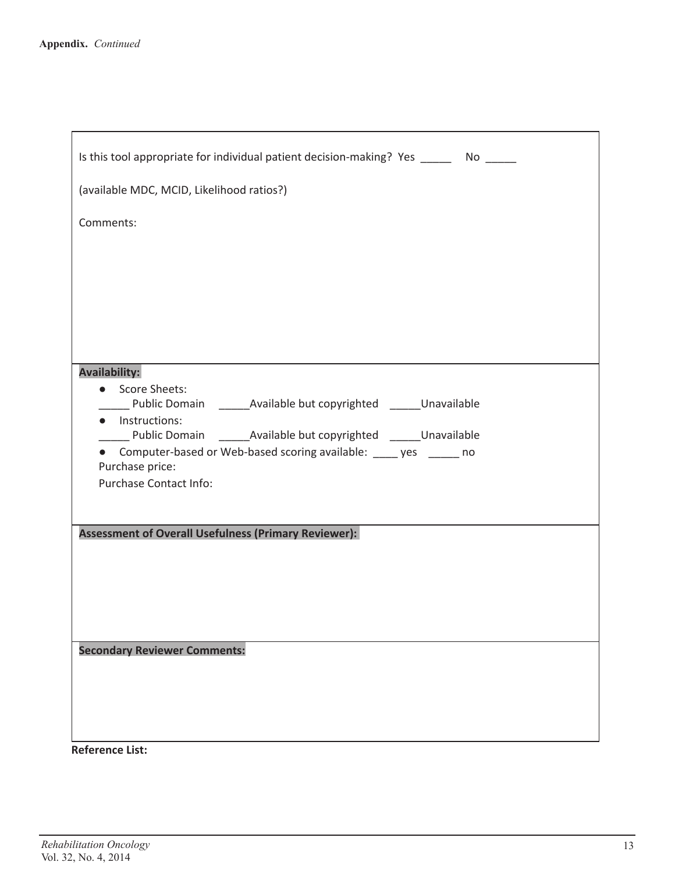| Is this tool appropriate for individual patient decision-making? Yes ________ No ______                                                                        |
|----------------------------------------------------------------------------------------------------------------------------------------------------------------|
| (available MDC, MCID, Likelihood ratios?)                                                                                                                      |
| Comments:                                                                                                                                                      |
|                                                                                                                                                                |
|                                                                                                                                                                |
|                                                                                                                                                                |
|                                                                                                                                                                |
| <b>Availability:</b>                                                                                                                                           |
| • Score Sheets:<br>Public Domain Available but copyrighted Unavailable                                                                                         |
| • Instructions:                                                                                                                                                |
| _____ Public Domain _________ Available but copyrighted _______ Unavailable<br>Computer-based or Web-based scoring available: _____ yes ______ no<br>$\bullet$ |
| Purchase price:                                                                                                                                                |
| Purchase Contact Info:                                                                                                                                         |
|                                                                                                                                                                |
| <b>Assessment of Overall Usefulness (Primary Reviewer):</b>                                                                                                    |
|                                                                                                                                                                |
|                                                                                                                                                                |
|                                                                                                                                                                |
| <b>Secondary Reviewer Comments:</b>                                                                                                                            |
|                                                                                                                                                                |
|                                                                                                                                                                |
|                                                                                                                                                                |
| <b>Reference List:</b>                                                                                                                                         |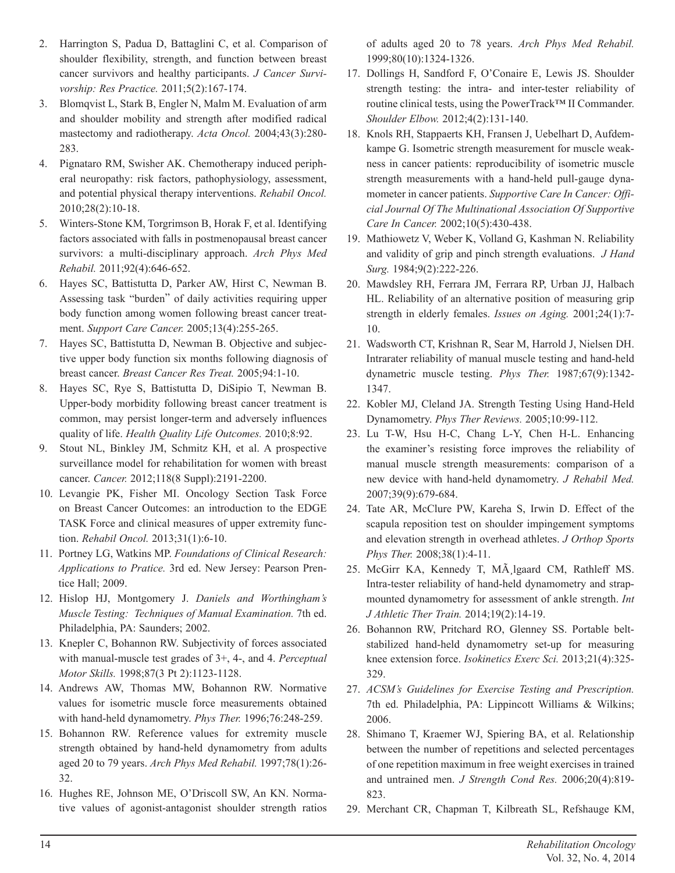- 2. Harrington S, Padua D, Battaglini C, et al. Comparison of shoulder flexibility, strength, and function between breast cancer survivors and healthy participants. *J Cancer Survivorship: Res Practice.* 2011;5(2):167-174.
- 3. Blomqvist L, Stark B, Engler N, Malm M. Evaluation of arm and shoulder mobility and strength after modified radical mastectomy and radiotherapy. *Acta Oncol.* 2004;43(3):280- 283.
- 4. Pignataro RM, Swisher AK. Chemotherapy induced peripheral neuropathy: risk factors, pathophysiology, assessment, and potential physical therapy interventions. *Rehabil Oncol.*  2010;28(2):10-18.
- 5. Winters-Stone KM, Torgrimson B, Horak F, et al. Identifying factors associated with falls in postmenopausal breast cancer survivors: a multi-disciplinary approach. *Arch Phys Med Rehabil.* 2011;92(4):646-652.
- 6. Hayes SC, Battistutta D, Parker AW, Hirst C, Newman B. Assessing task "burden" of daily activities requiring upper body function among women following breast cancer treatment. *Support Care Cancer.* 2005;13(4):255-265.
- 7. Hayes SC, Battistutta D, Newman B. Objective and subjective upper body function six months following diagnosis of breast cancer. *Breast Cancer Res Treat.* 2005;94:1-10.
- 8. Hayes SC, Rye S, Battistutta D, DiSipio T, Newman B. Upper-body morbidity following breast cancer treatment is common, may persist longer-term and adversely influences quality of life. *Health Quality Life Outcomes.* 2010;8:92.
- 9. Stout NL, Binkley JM, Schmitz KH, et al. A prospective surveillance model for rehabilitation for women with breast cancer. *Cancer.* 2012;118(8 Suppl):2191-2200.
- 10. Levangie PK, Fisher MI. Oncology Section Task Force on Breast Cancer Outcomes: an introduction to the EDGE TASK Force and clinical measures of upper extremity function. *Rehabil Oncol.* 2013;31(1):6-10.
- 11. Portney LG, Watkins MP. *Foundations of Clinical Research: Applications to Pratice.* 3rd ed. New Jersey: Pearson Prentice Hall; 2009.
- 12. Hislop HJ, Montgomery J. *Daniels and Worthingham's Muscle Testing: Techniques of Manual Examination.* 7th ed. Philadelphia, PA: Saunders; 2002.
- 13. Knepler C, Bohannon RW. Subjectivity of forces associated with manual-muscle test grades of 3+, 4-, and 4. *Perceptual Motor Skills.* 1998;87(3 Pt 2):1123-1128.
- 14. Andrews AW, Thomas MW, Bohannon RW. Normative values for isometric muscle force measurements obtained with hand-held dynamometry. *Phys Ther.* 1996;76:248-259.
- 15. Bohannon RW. Reference values for extremity muscle strength obtained by hand-held dynamometry from adults aged 20 to 79 years. *Arch Phys Med Rehabil.* 1997;78(1):26- 32.
- 16. Hughes RE, Johnson ME, O'Driscoll SW, An KN. Normative values of agonist-antagonist shoulder strength ratios

of adults aged 20 to 78 years. *Arch Phys Med Rehabil.*  1999;80(10):1324-1326.

- 17. Dollings H, Sandford F, O'Conaire E, Lewis JS. Shoulder strength testing: the intra- and inter-tester reliability of routine clinical tests, using the PowerTrack™ II Commander. *Shoulder Elbow.* 2012;4(2):131-140.
- 18. Knols RH, Stappaerts KH, Fransen J, Uebelhart D, Aufdemkampe G. Isometric strength measurement for muscle weakness in cancer patients: reproducibility of isometric muscle strength measurements with a hand-held pull-gauge dynamometer in cancer patients. *Supportive Care In Cancer: Official Journal Of The Multinational Association Of Supportive Care In Cancer.* 2002;10(5):430-438.
- 19. Mathiowetz V, Weber K, Volland G, Kashman N. Reliability and validity of grip and pinch strength evaluations. *J Hand Surg.* 1984;9(2):222-226.
- 20. Mawdsley RH, Ferrara JM, Ferrara RP, Urban JJ, Halbach HL. Reliability of an alternative position of measuring grip strength in elderly females. *Issues on Aging.* 2001;24(1):7- 10.
- 21. Wadsworth CT, Krishnan R, Sear M, Harrold J, Nielsen DH. Intrarater reliability of manual muscle testing and hand-held dynametric muscle testing. *Phys Ther.* 1987;67(9):1342- 1347.
- 22. Kobler MJ, Cleland JA. Strength Testing Using Hand-Held Dynamometry. *Phys Ther Reviews.* 2005;10:99-112.
- 23. Lu T-W, Hsu H-C, Chang L-Y, Chen H-L. Enhancing the examiner's resisting force improves the reliability of manual muscle strength measurements: comparison of a new device with hand-held dynamometry. *J Rehabil Med.*  2007;39(9):679-684.
- 24. Tate AR, McClure PW, Kareha S, Irwin D. Effect of the scapula reposition test on shoulder impingement symptoms and elevation strength in overhead athletes. *J Orthop Sports Phys Ther.* 2008;38(1):4-11.
- 25. McGirr KA, Kennedy T, MÃ lgaard CM, Rathleff MS. Intra-tester reliability of hand-held dynamometry and strapmounted dynamometry for assessment of ankle strength. *Int J Athletic Ther Train.* 2014;19(2):14-19.
- 26. Bohannon RW, Pritchard RO, Glenney SS. Portable beltstabilized hand-held dynamometry set-up for measuring knee extension force. *Isokinetics Exerc Sci.* 2013;21(4):325- 329.
- 27. *ACSM's Guidelines for Exercise Testing and Prescription.* 7th ed. Philadelphia, PA: Lippincott Williams & Wilkins; 2006.
- 28. Shimano T, Kraemer WJ, Spiering BA, et al. Relationship between the number of repetitions and selected percentages of one repetition maximum in free weight exercises in trained and untrained men. *J Strength Cond Res.* 2006;20(4):819- 823.
- 29. Merchant CR, Chapman T, Kilbreath SL, Refshauge KM,